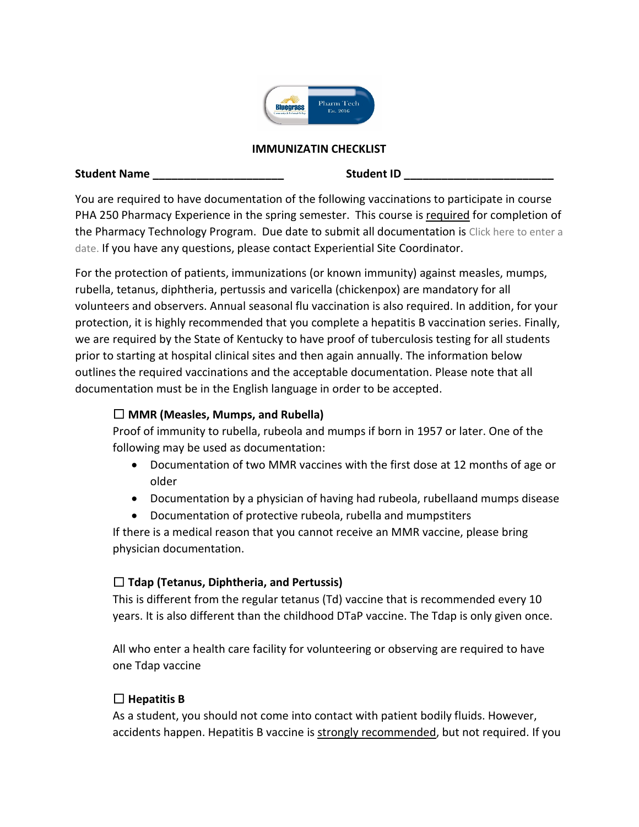

#### **IMMUNIZATIN CHECKLIST**

#### **Student Name the student in the Student ID contract in the Student ID**

You are required to have documentation of the following vaccinations to participate in course PHA 250 Pharmacy Experience in the spring semester. This course is required for completion of the Pharmacy Technology Program. Due date to submit all documentation is Click here to enter a date. If you have any questions, please contact Experiential Site Coordinator.

For the protection of patients, immunizations (or known immunity) against measles, mumps, rubella, tetanus, diphtheria, pertussis and varicella (chickenpox) are mandatory for all volunteers and observers. Annual seasonal flu vaccination is also required. In addition, for your protection, it is highly recommended that you complete a hepatitis B vaccination series. Finally, we are required by the State of Kentucky to have proof of tuberculosis testing for all students prior to starting at hospital clinical sites and then again annually. The information below outlines the required vaccinations and the acceptable documentation. Please note that all documentation must be in the English language in order to be accepted.

#### ☐ **MMR (Measles, Mumps, and Rubella)**

Proof of immunity to rubella, rubeola and mumps if born in 1957 or later. One of the following may be used as documentation:

- Documentation of two MMR vaccines with the first dose at 12 months of age or older
- Documentation by a physician of having had rubeola, rubellaand mumps disease
- Documentation of protective rubeola, rubella and mumpstiters

If there is a medical reason that you cannot receive an MMR vaccine, please bring physician documentation.

## ☐ **Tdap (Tetanus, Diphtheria, and Pertussis)**

This is different from the regular tetanus (Td) vaccine that is recommended every 10 years. It is also different than the childhood DTaP vaccine. The Tdap is only given once.

All who enter a health care facility for volunteering or observing are required to have one Tdap vaccine

## ☐ **Hepatitis B**

As a student, you should not come into contact with patient bodily fluids. However, accidents happen. Hepatitis B vaccine is strongly recommended, but not required. If you